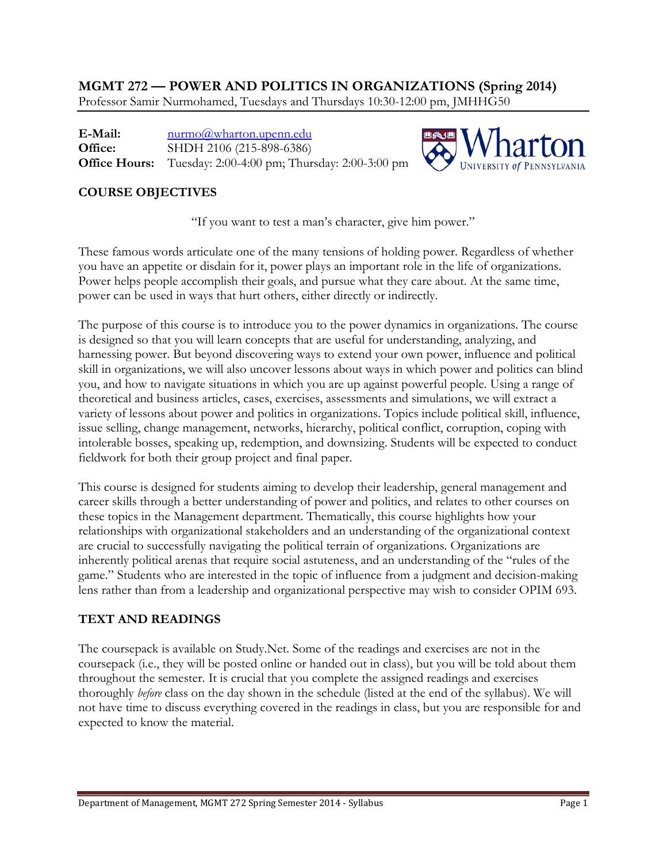**MGMT 272 — POWER AND POLITICS IN ORGANIZATIONS (Spring 2014)** Professor Samir Nurmohamed, Tuesdays and Thursdays 10:30-12:00 pm, JMHHG50

**E-Mail: Office: Office Hours:** [nurmo@wharton.upenn.edu](mailto:nurmo@wharton.upenn.edu) SHDH 2106 (215-898-6386) Tuesday: 2:00-4:00 pm; Thursday: 2:00-3:00 pm



## **COURSE OBJECTIVES**

"If you want to test a man's character, give him power."

These famous words articulate one of the many tensions of holding power. Regardless of whether you have an appetite or disdain for it, power plays an important role in the life of organizations. Power helps people accomplish their goals, and pursue what they care about. At the same time, power can be used in ways that hurt others, either directly or indirectly.

The purpose of this course is to introduce you to the power dynamics in organizations. The course is designed so that you will learn concepts that are useful for understanding, analyzing, and harnessing power. But beyond discovering ways to extend your own power, influence and political skill in organizations, we will also uncover lessons about ways in which power and politics can blind you, and how to navigate situations in which you are up against powerful people. Using a range of theoretical and business articles, cases, exercises, assessments and simulations, we will extract a variety of lessons about power and politics in organizations. Topics include political skill, influence, issue selling, change management, networks, hierarchy, political conflict, corruption, coping with intolerable bosses, speaking up, redemption, and downsizing. Students will be expected to conduct fieldwork for both their group project and final paper.

This course is designed for students aiming to develop their leadership, general management and career skills through a better understanding of power and politics, and relates to other courses on these topics in the Management department. Thematically, this course highlights how your relationships with organizational stakeholders and an understanding of the organizational context are crucial to successfully navigating the political terrain of organizations. Organizations are inherently political arenas that require social astuteness, and an understanding of the "rules of the game." Students who are interested in the topic of influence from a judgment and decision-making lens rather than from a leadership and organizational perspective may wish to consider OPIM 693.

## **TEXT AND READINGS**

The coursepack is available on Study.Net. Some of the readings and exercises are not in the coursepack (i.e., they will be posted online or handed out in class), but you will be told about them throughout the semester. It is crucial that you complete the assigned readings and exercises thoroughly *before* class on the day shown in the schedule (listed at the end of the syllabus). We will not have time to discuss everything covered in the readings in class, but you are responsible for and expected to know the material.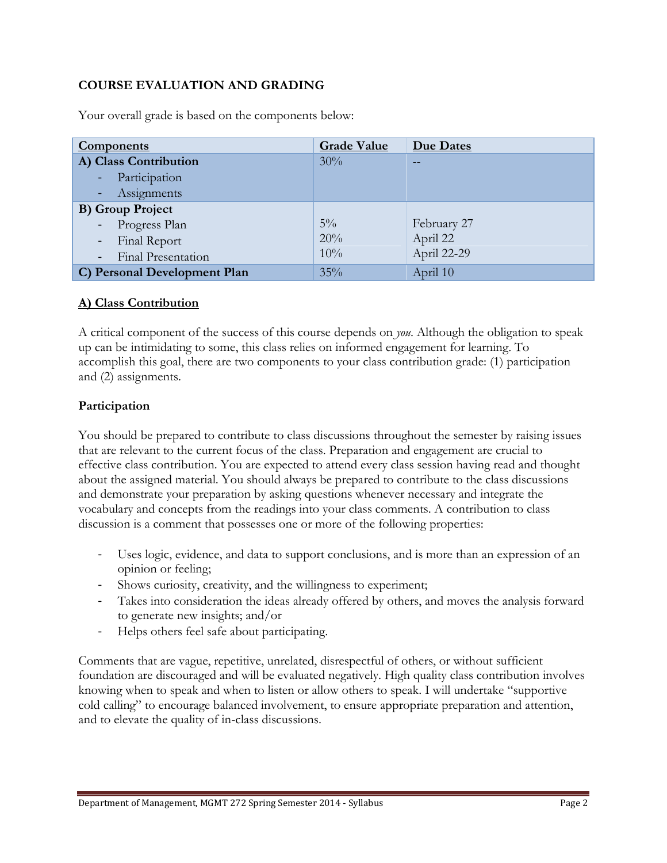## **COURSE EVALUATION AND GRADING**

| <b>Components</b>                                         | <b>Grade Value</b> | <b>Due Dates</b> |
|-----------------------------------------------------------|--------------------|------------------|
| A) Class Contribution                                     | 30%                |                  |
| Participation<br>$\frac{1}{2} \left( \frac{1}{2} \right)$ |                    |                  |
| Assignments<br>Æ                                          |                    |                  |
| <b>B)</b> Group Project                                   |                    |                  |
| Progress Plan<br>$\sim$                                   | $5\%$              | February 27      |
| Final Report<br>$\blacksquare$                            | 20%                | April 22         |
| <b>Final Presentation</b><br>$\equiv$                     | 10%                | April 22-29      |
| C) Personal Development Plan                              | 35%                | April 10         |

Your overall grade is based on the components below:

#### **A) Class Contribution**

A critical component of the success of this course depends on *you*. Although the obligation to speak up can be intimidating to some, this class relies on informed engagement for learning. To accomplish this goal, there are two components to your class contribution grade: (1) participation and (2) assignments.

#### **Participation**

You should be prepared to contribute to class discussions throughout the semester by raising issues that are relevant to the current focus of the class. Preparation and engagement are crucial to effective class contribution. You are expected to attend every class session having read and thought about the assigned material. You should always be prepared to contribute to the class discussions and demonstrate your preparation by asking questions whenever necessary and integrate the vocabulary and concepts from the readings into your class comments. A contribution to class discussion is a comment that possesses one or more of the following properties:

- Uses logic, evidence, and data to support conclusions, and is more than an expression of an opinion or feeling;
- Shows curiosity, creativity, and the willingness to experiment;
- Takes into consideration the ideas already offered by others, and moves the analysis forward to generate new insights; and/or
- Helps others feel safe about participating.

Comments that are vague, repetitive, unrelated, disrespectful of others, or without sufficient foundation are discouraged and will be evaluated negatively. High quality class contribution involves knowing when to speak and when to listen or allow others to speak. I will undertake "supportive cold calling" to encourage balanced involvement, to ensure appropriate preparation and attention, and to elevate the quality of in-class discussions.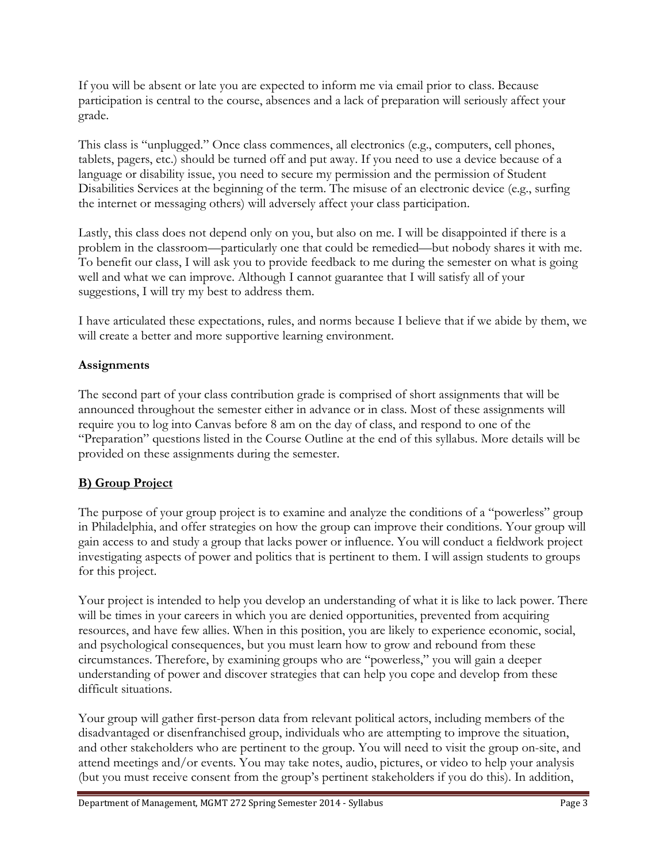If you will be absent or late you are expected to inform me via email prior to class. Because participation is central to the course, absences and a lack of preparation will seriously affect your grade.

This class is "unplugged." Once class commences, all electronics (e.g., computers, cell phones, tablets, pagers, etc.) should be turned off and put away. If you need to use a device because of a language or disability issue, you need to secure my permission and the permission of Student Disabilities Services at the beginning of the term. The misuse of an electronic device (e.g., surfing the internet or messaging others) will adversely affect your class participation.

Lastly, this class does not depend only on you, but also on me. I will be disappointed if there is a problem in the classroom—particularly one that could be remedied—but nobody shares it with me. To benefit our class, I will ask you to provide feedback to me during the semester on what is going well and what we can improve. Although I cannot guarantee that I will satisfy all of your suggestions, I will try my best to address them.

I have articulated these expectations, rules, and norms because I believe that if we abide by them, we will create a better and more supportive learning environment.

## **Assignments**

The second part of your class contribution grade is comprised of short assignments that will be announced throughout the semester either in advance or in class. Most of these assignments will require you to log into Canvas before 8 am on the day of class, and respond to one of the "Preparation" questions listed in the Course Outline at the end of this syllabus. More details will be provided on these assignments during the semester.

# **B) Group Project**

The purpose of your group project is to examine and analyze the conditions of a "powerless" group in Philadelphia, and offer strategies on how the group can improve their conditions. Your group will gain access to and study a group that lacks power or influence. You will conduct a fieldwork project investigating aspects of power and politics that is pertinent to them. I will assign students to groups for this project.

Your project is intended to help you develop an understanding of what it is like to lack power. There will be times in your careers in which you are denied opportunities, prevented from acquiring resources, and have few allies. When in this position, you are likely to experience economic, social, and psychological consequences, but you must learn how to grow and rebound from these circumstances. Therefore, by examining groups who are "powerless," you will gain a deeper understanding of power and discover strategies that can help you cope and develop from these difficult situations.

Your group will gather first-person data from relevant political actors, including members of the disadvantaged or disenfranchised group, individuals who are attempting to improve the situation, and other stakeholders who are pertinent to the group. You will need to visit the group on-site, and attend meetings and/or events. You may take notes, audio, pictures, or video to help your analysis (but you must receive consent from the group's pertinent stakeholders if you do this). In addition,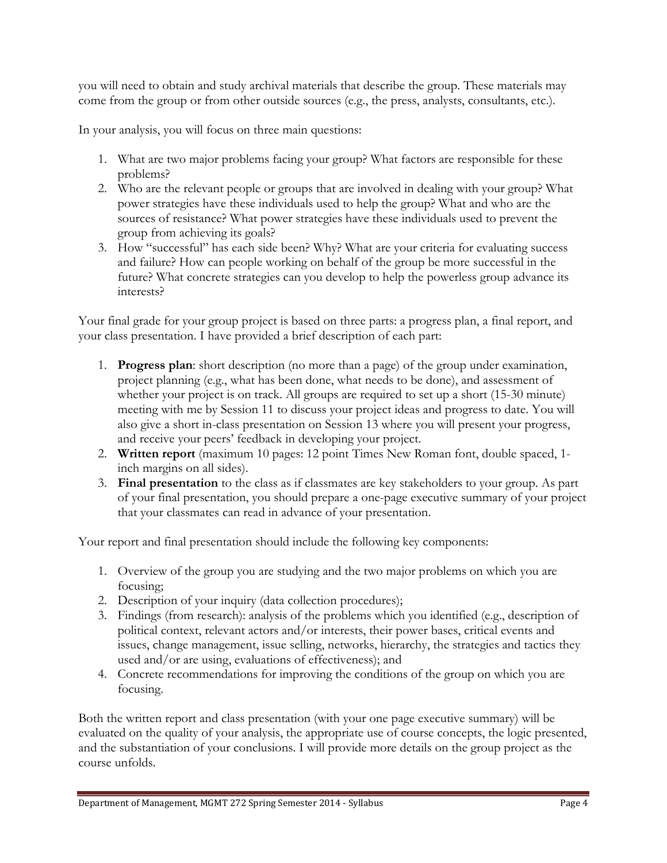you will need to obtain and study archival materials that describe the group. These materials may come from the group or from other outside sources (e.g., the press, analysts, consultants, etc.).

In your analysis, you will focus on three main questions:

- 1. What are two major problems facing your group? What factors are responsible for these problems?
- 2. Who are the relevant people or groups that are involved in dealing with your group? What power strategies have these individuals used to help the group? What and who are the sources of resistance? What power strategies have these individuals used to prevent the group from achieving its goals?
- 3. How "successful" has each side been? Why? What are your criteria for evaluating success and failure? How can people working on behalf of the group be more successful in the future? What concrete strategies can you develop to help the powerless group advance its interests?

Your final grade for your group project is based on three parts: a progress plan, a final report, and your class presentation. I have provided a brief description of each part:

- 1. **Progress plan**: short description (no more than a page) of the group under examination, project planning (e.g., what has been done, what needs to be done), and assessment of whether your project is on track. All groups are required to set up a short (15-30 minute) meeting with me by Session 11 to discuss your project ideas and progress to date. You will also give a short in-class presentation on Session 13 where you will present your progress, and receive your peers' feedback in developing your project.
- 2. **Written report** (maximum 10 pages: 12 point Times New Roman font, double spaced, 1 inch margins on all sides).
- 3. **Final presentation** to the class as if classmates are key stakeholders to your group. As part of your final presentation, you should prepare a one-page executive summary of your project that your classmates can read in advance of your presentation.

Your report and final presentation should include the following key components:

- 1. Overview of the group you are studying and the two major problems on which you are focusing;
- 2. Description of your inquiry (data collection procedures);
- 3. Findings (from research): analysis of the problems which you identified (e.g., description of political context, relevant actors and/or interests, their power bases, critical events and issues, change management, issue selling, networks, hierarchy, the strategies and tactics they used and/or are using, evaluations of effectiveness); and
- 4. Concrete recommendations for improving the conditions of the group on which you are focusing.

Both the written report and class presentation (with your one page executive summary) will be evaluated on the quality of your analysis, the appropriate use of course concepts, the logic presented, and the substantiation of your conclusions. I will provide more details on the group project as the course unfolds.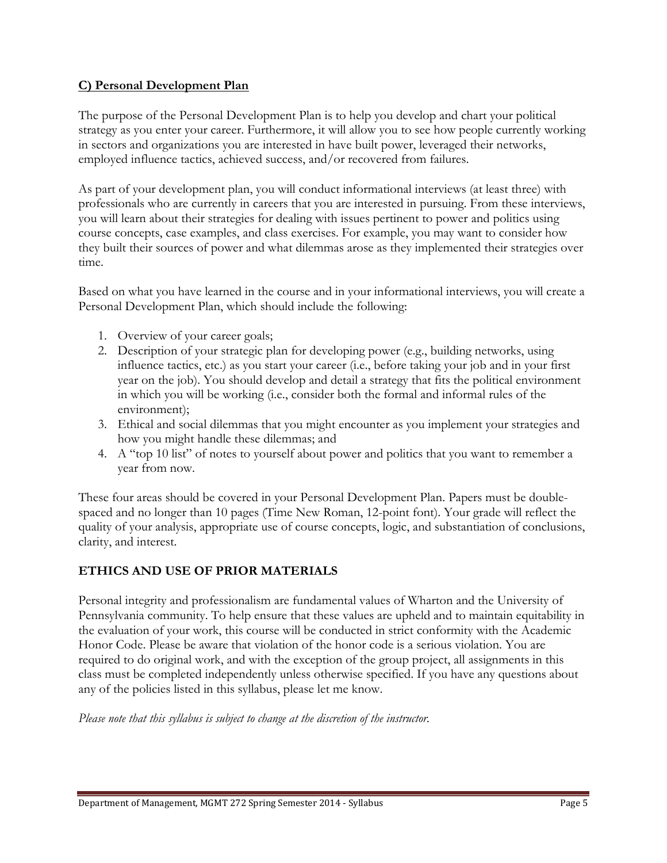## **C) Personal Development Plan**

The purpose of the Personal Development Plan is to help you develop and chart your political strategy as you enter your career. Furthermore, it will allow you to see how people currently working in sectors and organizations you are interested in have built power, leveraged their networks, employed influence tactics, achieved success, and/or recovered from failures.

As part of your development plan, you will conduct informational interviews (at least three) with professionals who are currently in careers that you are interested in pursuing. From these interviews, you will learn about their strategies for dealing with issues pertinent to power and politics using course concepts, case examples, and class exercises. For example, you may want to consider how they built their sources of power and what dilemmas arose as they implemented their strategies over time.

Based on what you have learned in the course and in your informational interviews, you will create a Personal Development Plan, which should include the following:

- 1. Overview of your career goals;
- 2. Description of your strategic plan for developing power (e.g., building networks, using influence tactics, etc.) as you start your career (i.e., before taking your job and in your first year on the job). You should develop and detail a strategy that fits the political environment in which you will be working (i.e., consider both the formal and informal rules of the environment);
- 3. Ethical and social dilemmas that you might encounter as you implement your strategies and how you might handle these dilemmas; and
- 4. A "top 10 list" of notes to yourself about power and politics that you want to remember a year from now.

These four areas should be covered in your Personal Development Plan. Papers must be doublespaced and no longer than 10 pages (Time New Roman, 12-point font). Your grade will reflect the quality of your analysis, appropriate use of course concepts, logic, and substantiation of conclusions, clarity, and interest.

## **ETHICS AND USE OF PRIOR MATERIALS**

Personal integrity and professionalism are fundamental values of Wharton and the University of Pennsylvania community. To help ensure that these values are upheld and to maintain equitability in the evaluation of your work, this course will be conducted in strict conformity with the Academic Honor Code. Please be aware that violation of the honor code is a serious violation. You are required to do original work, and with the exception of the group project, all assignments in this class must be completed independently unless otherwise specified. If you have any questions about any of the policies listed in this syllabus, please let me know.

*Please note that this syllabus is subject to change at the discretion of the instructor.*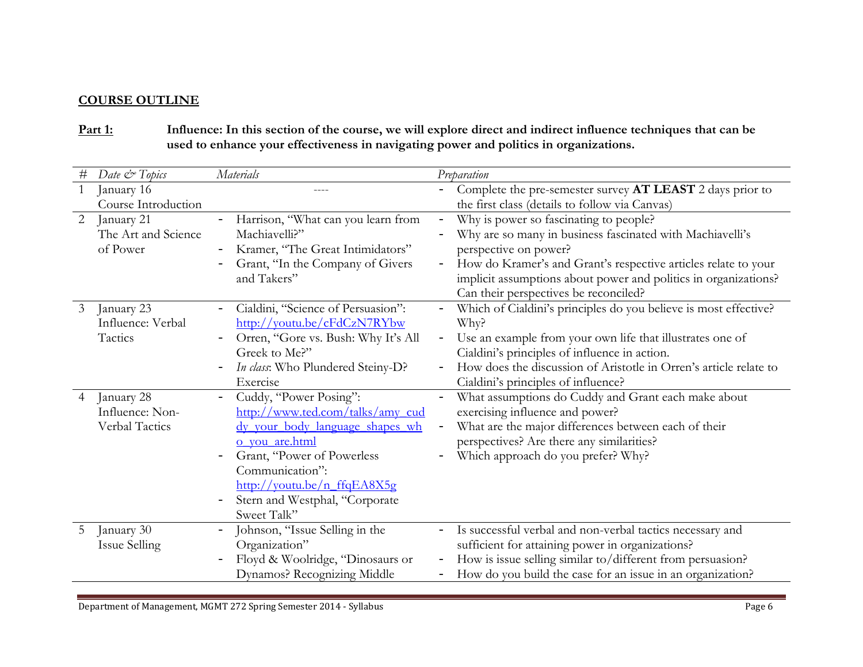## **COURSE OUTLINE**

# **Part 1: Influence: In this section of the course, we will explore direct and indirect influence techniques that can be used to enhance your effectiveness in navigating power and politics in organizations.**

| $\#$           | Date & Topics                                   | <b>Materials</b>                                                                                                                                                                         |                                                      | Preparation                                                                                                                                                                                                                                                                                                |
|----------------|-------------------------------------------------|------------------------------------------------------------------------------------------------------------------------------------------------------------------------------------------|------------------------------------------------------|------------------------------------------------------------------------------------------------------------------------------------------------------------------------------------------------------------------------------------------------------------------------------------------------------------|
|                | January 16                                      |                                                                                                                                                                                          |                                                      | Complete the pre-semester survey AT LEAST 2 days prior to                                                                                                                                                                                                                                                  |
|                | Course Introduction                             |                                                                                                                                                                                          |                                                      | the first class (details to follow via Canvas)                                                                                                                                                                                                                                                             |
| $\overline{2}$ | January 21<br>The Art and Science<br>of Power   | Harrison, "What can you learn from<br>Machiavelli?"<br>Kramer, "The Great Intimidators"<br>Grant, "In the Company of Givers<br>and Takers"                                               | $\qquad \qquad -$                                    | Why is power so fascinating to people?<br>Why are so many in business fascinated with Machiavelli's<br>perspective on power?<br>How do Kramer's and Grant's respective articles relate to your<br>implicit assumptions about power and politics in organizations?<br>Can their perspectives be reconciled? |
| 3              | January 23<br>Influence: Verbal                 | Cialdini, "Science of Persuasion":<br>http://youtu.be/cFdCzN7RYbw                                                                                                                        |                                                      | Which of Cialdini's principles do you believe is most effective?<br>Why?                                                                                                                                                                                                                                   |
|                | Tactics                                         | Orren, "Gore vs. Bush: Why It's All<br>Greek to Me?"                                                                                                                                     |                                                      | Use an example from your own life that illustrates one of<br>Cialdini's principles of influence in action.                                                                                                                                                                                                 |
|                |                                                 | In class: Who Plundered Steiny-D?<br>Exercise                                                                                                                                            |                                                      | How does the discussion of Aristotle in Orren's article relate to<br>Cialdini's principles of influence?                                                                                                                                                                                                   |
| $\overline{4}$ | January 28<br>Influence: Non-<br>Verbal Tactics | Cuddy, "Power Posing":<br>$\qquad \qquad -$<br>http://www.ted.com/talks/amy_cud<br>dy your body language shapes wh<br>o you are.html                                                     | $\overline{\phantom{0}}$<br>$\overline{\phantom{a}}$ | What assumptions do Cuddy and Grant each make about<br>exercising influence and power?<br>What are the major differences between each of their<br>perspectives? Are there any similarities?                                                                                                                |
|                |                                                 | Grant, "Power of Powerless<br>Communication":<br>$\frac{http://youtu.be/n~ffqEASX5g}{http://youtu.be/n~ffqEASX5g}$<br>Stern and Westphal, "Corporate<br>$\qquad \qquad -$<br>Sweet Talk" |                                                      | Which approach do you prefer? Why?                                                                                                                                                                                                                                                                         |
| 5              | January 30<br>Issue Selling                     | Johnson, "Issue Selling in the<br>Organization"                                                                                                                                          |                                                      | Is successful verbal and non-verbal tactics necessary and<br>sufficient for attaining power in organizations?                                                                                                                                                                                              |
|                |                                                 | Floyd & Woolridge, "Dinosaurs or<br>Dynamos? Recognizing Middle                                                                                                                          |                                                      | How is issue selling similar to/different from persuasion?<br>How do you build the case for an issue in an organization?                                                                                                                                                                                   |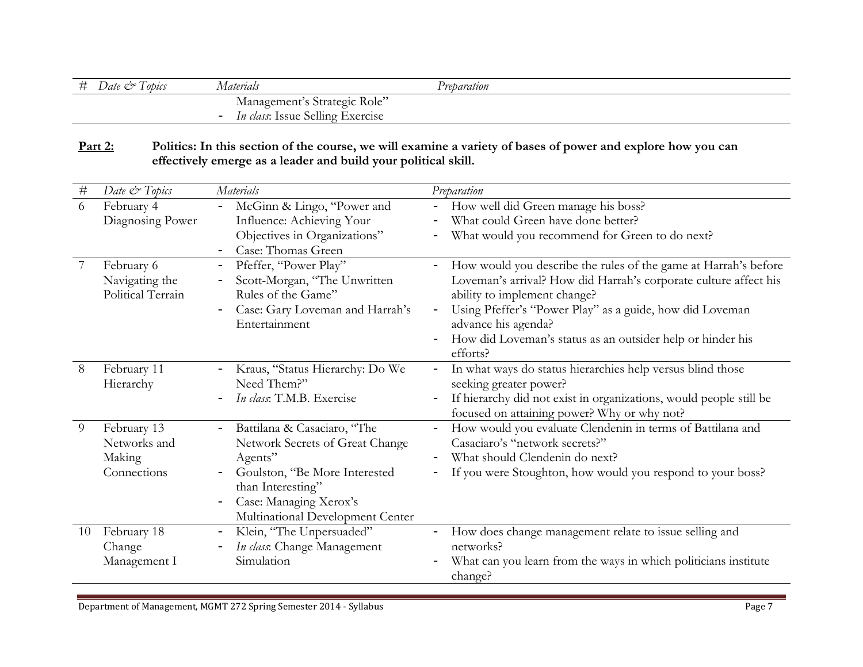| # | Lobics<br>$\mathcal{Q}$ ate $\mathcal{Q}^{\circ}$ | Aaterials                                                           | Preparation |
|---|---------------------------------------------------|---------------------------------------------------------------------|-------------|
|   |                                                   | Management's Strategic Role"                                        |             |
|   |                                                   | <i>In class:</i> Issue Selling Exercise<br>$\overline{\phantom{0}}$ |             |

**Part 2: Politics: In this section of the course, we will examine a variety of bases of power and explore how you can effectively emerge as a leader and build your political skill.**

| $\#$           | Date & Topics                                        | Materials                                                                                                                                                                                                                                      | Preparation                                                                                                                                                                                                                                                                                                                                                  |
|----------------|------------------------------------------------------|------------------------------------------------------------------------------------------------------------------------------------------------------------------------------------------------------------------------------------------------|--------------------------------------------------------------------------------------------------------------------------------------------------------------------------------------------------------------------------------------------------------------------------------------------------------------------------------------------------------------|
| 6              | February 4<br>Diagnosing Power                       | McGinn & Lingo, "Power and<br>$\overline{\phantom{0}}$<br>Influence: Achieving Your<br>Objectives in Organizations"<br>Case: Thomas Green                                                                                                      | How well did Green manage his boss?<br>$\overline{\phantom{0}}$<br>What could Green have done better?<br>What would you recommend for Green to do next?                                                                                                                                                                                                      |
| $\overline{7}$ | February 6<br>Navigating the<br>Political Terrain    | Pfeffer, "Power Play"<br>$\qquad \qquad -$<br>Scott-Morgan, "The Unwritten<br>Rules of the Game"<br>Case: Gary Loveman and Harrah's<br>Entertainment                                                                                           | How would you describe the rules of the game at Harrah's before<br>Loveman's arrival? How did Harrah's corporate culture affect his<br>ability to implement change?<br>Using Pfeffer's "Power Play" as a guide, how did Loveman<br>$\overline{\phantom{a}}$<br>advance his agenda?<br>How did Loveman's status as an outsider help or hinder his<br>efforts? |
| 8              | February 11<br>Hierarchy                             | Kraus, "Status Hierarchy: Do We<br>Need Them?"<br>In class: T.M.B. Exercise                                                                                                                                                                    | In what ways do status hierarchies help versus blind those<br>seeking greater power?<br>If hierarchy did not exist in organizations, would people still be<br>focused on attaining power? Why or why not?                                                                                                                                                    |
| 9              | February 13<br>Networks and<br>Making<br>Connections | Battilana & Casaciaro, "The<br>$\overline{\phantom{0}}$<br>Network Secrets of Great Change<br>Agents"<br>Goulston, "Be More Interested<br>than Interesting"<br>Case: Managing Xerox's<br>$\qquad \qquad -$<br>Multinational Development Center | How would you evaluate Clendenin in terms of Battilana and<br>$\overline{\phantom{0}}$<br>Casaciaro's "network secrets?"<br>What should Clendenin do next?<br>If you were Stoughton, how would you respond to your boss?                                                                                                                                     |
| 10             | February 18<br>Change<br>Management I                | Klein, "The Unpersuaded"<br>$\qquad \qquad -$<br>In class: Change Management<br>Simulation                                                                                                                                                     | How does change management relate to issue selling and<br>networks?<br>What can you learn from the ways in which politicians institute<br>change?                                                                                                                                                                                                            |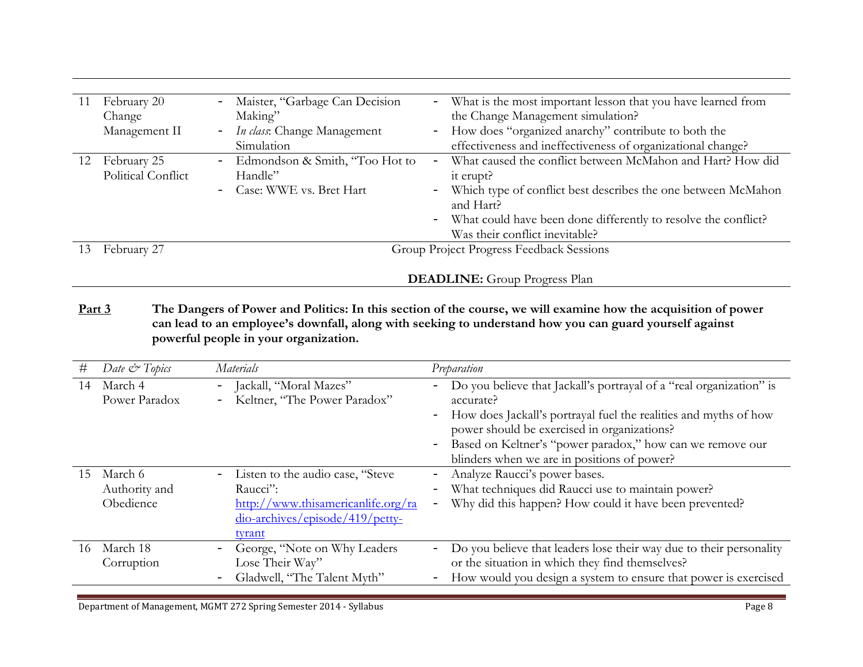| 11 | February 20<br>Change<br>Management II | Maister, "Garbage Can Decision<br>$-$<br>Making"<br>- <i>In class</i> : Change Management<br>Simulation | - What is the most important lesson that you have learned from<br>the Change Management simulation?<br>- How does "organized anarchy" contribute to both the<br>effectiveness and ineffectiveness of organizational change?                                   |
|----|----------------------------------------|---------------------------------------------------------------------------------------------------------|---------------------------------------------------------------------------------------------------------------------------------------------------------------------------------------------------------------------------------------------------------------|
| 12 | February 25<br>Political Conflict      | Edmondson & Smith, "Too Hot to<br>-<br>Handle"<br>- Case: WWE vs. Bret Hart                             | What caused the conflict between McMahon and Hart? How did<br>it erupt?<br>- Which type of conflict best describes the one between McMahon<br>and Hart?<br>- What could have been done differently to resolve the conflict?<br>Was their conflict inevitable? |
| 13 | February 27                            |                                                                                                         | Group Project Progress Feedback Sessions<br><b>DEADLINE:</b> Group Progress Plan                                                                                                                                                                              |

**Part 3 The Dangers of Power and Politics: In this section of the course, we will examine how the acquisition of power can lead to an employee's downfall, along with seeking to understand how you can guard yourself against powerful people in your organization.**

| #   | Date & Topics                         | <b>Materials</b>                                                                                                                                     | Preparation                                                                                                                                                                                                                                                                                                                                                                                         |
|-----|---------------------------------------|------------------------------------------------------------------------------------------------------------------------------------------------------|-----------------------------------------------------------------------------------------------------------------------------------------------------------------------------------------------------------------------------------------------------------------------------------------------------------------------------------------------------------------------------------------------------|
| 14  | March 4<br>Power Paradox              | Jackall, "Moral Mazes"<br>$-$<br>Keltner, "The Power Paradox"                                                                                        | Do you believe that Jackall's portrayal of a "real organization" is<br>$\overline{\phantom{0}}$<br>accurate?<br>How does Jackall's portrayal fuel the realities and myths of how<br>$\overline{\phantom{m}}$<br>power should be exercised in organizations?<br>Based on Keltner's "power paradox," how can we remove our<br>$\overline{\phantom{a}}$<br>blinders when we are in positions of power? |
| 15  | March 6<br>Authority and<br>Obedience | Listen to the audio case, "Steve<br>$\qquad \qquad -$<br>Raucci":<br>http://www.thisamericanlife.org/ra<br>dio-archives/episode/419/petty-<br>tyrant | Analyze Raucci's power bases.<br>What techniques did Raucci use to maintain power?<br>Why did this happen? How could it have been prevented?<br>$\overline{\phantom{m}}$                                                                                                                                                                                                                            |
| 16. | March 18<br>Corruption                | George, "Note on Why Leaders<br>Lose Their Way"<br>Gladwell, "The Talent Myth"                                                                       | Do you believe that leaders lose their way due to their personality<br>$\overline{\phantom{0}}$<br>or the situation in which they find themselves?<br>How would you design a system to ensure that power is exercised<br>$\overline{\phantom{m}}$                                                                                                                                                   |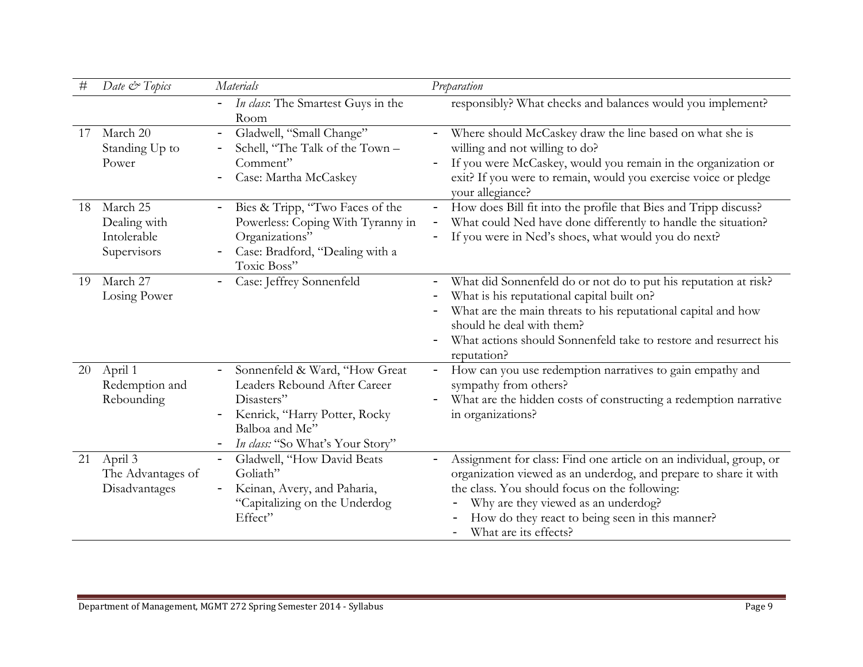| $^{\#}$ | Date & Topics                                          | Materials                                                                                                                                                          | Preparation                                                                                                                                                                                                                                                                                                |
|---------|--------------------------------------------------------|--------------------------------------------------------------------------------------------------------------------------------------------------------------------|------------------------------------------------------------------------------------------------------------------------------------------------------------------------------------------------------------------------------------------------------------------------------------------------------------|
|         |                                                        | In class: The Smartest Guys in the<br>$\overline{\phantom{m}}$<br>Room                                                                                             | responsibly? What checks and balances would you implement?                                                                                                                                                                                                                                                 |
| 17      | March 20<br>Standing Up to<br>Power                    | Gladwell, "Small Change"<br>Schell, "The Talk of the Town -<br>Comment"<br>Case: Martha McCaskey                                                                   | Where should McCaskey draw the line based on what she is<br>willing and not willing to do?<br>If you were McCaskey, would you remain in the organization or<br>exit? If you were to remain, would you exercise voice or pledge<br>your allegiance?                                                         |
| 18      | March 25<br>Dealing with<br>Intolerable<br>Supervisors | Bies & Tripp, "Two Faces of the<br>Powerless: Coping With Tyranny in<br>Organizations"<br>Case: Bradford, "Dealing with a<br>Toxic Boss"                           | How does Bill fit into the profile that Bies and Tripp discuss?<br>What could Ned have done differently to handle the situation?<br>If you were in Ned's shoes, what would you do next?                                                                                                                    |
| 19      | March 27<br>Losing Power                               | Case: Jeffrey Sonnenfeld                                                                                                                                           | What did Sonnenfeld do or not do to put his reputation at risk?<br>What is his reputational capital built on?<br>What are the main threats to his reputational capital and how<br>should he deal with them?<br>What actions should Sonnenfeld take to restore and resurrect his<br>reputation?             |
| 20      | April 1<br>Redemption and<br>Rebounding                | Sonnenfeld & Ward, "How Great<br>Leaders Rebound After Career<br>Disasters"<br>Kenrick, "Harry Potter, Rocky<br>Balboa and Me"<br>In class: "So What's Your Story" | How can you use redemption narratives to gain empathy and<br>sympathy from others?<br>What are the hidden costs of constructing a redemption narrative<br>in organizations?                                                                                                                                |
| 21      | April 3<br>The Advantages of<br>Disadvantages          | Gladwell, "How David Beats<br>$\overline{\phantom{0}}$<br>Goliath"<br>Keinan, Avery, and Paharia,<br>"Capitalizing on the Underdog<br>Effect"                      | Assignment for class: Find one article on an individual, group, or<br>organization viewed as an underdog, and prepare to share it with<br>the class. You should focus on the following:<br>Why are they viewed as an underdog?<br>How do they react to being seen in this manner?<br>What are its effects? |